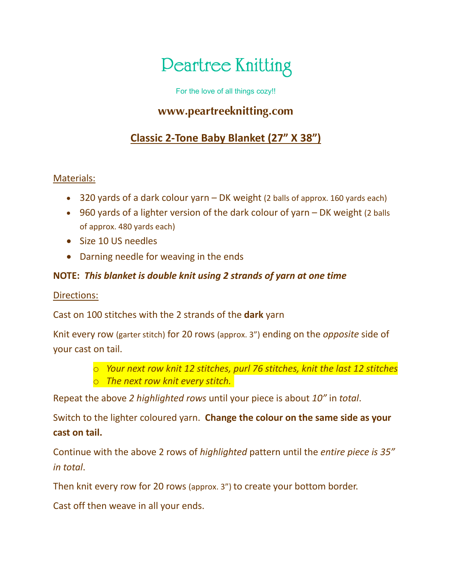# **Peartree Knitting**

For the love of all things cozy!!

### **www.peartreeknitting.com**

## **Classic 2-Tone Baby Blanket (27" X 38")**

#### Materials:

- 320 yards of a dark colour yarn DK weight (2 balls of approx. 160 yards each)
- 960 yards of a lighter version of the dark colour of yarn DK weight (2 balls of approx. 480 yards each)
- Size 10 US needles
- Darning needle for weaving in the ends

#### **NOTE:** *This blanket is double knit using 2 strands of yarn at one time*

#### Directions:

Cast on 100 stitches with the 2 strands of the **dark** yarn

Knit every row (garter stitch) for 20 rows (approx. 3") ending on the *opposite* side of your cast on tail.

> o *Your next row knit 12 stitches, purl 76 stitches, knit the last 12 stitches* o *The next row knit every stitch.*

Repeat the above *2 highlighted rows* until your piece is about *10"* in *total*.

Switch to the lighter coloured yarn. **Change the colour on the same side as your cast on tail.**

Continue with the above 2 rows of *highlighted* pattern until the *entire piece is 35" in total*.

Then knit every row for 20 rows (approx. 3") to create your bottom border.

Cast off then weave in all your ends.